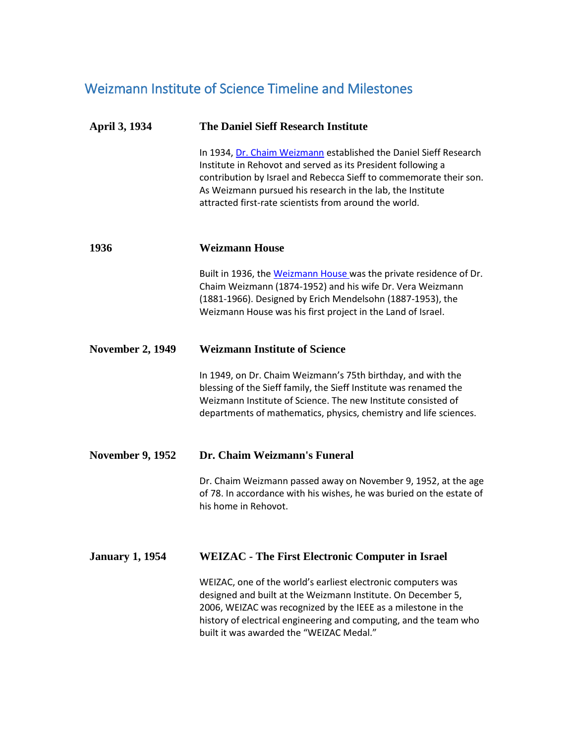# Weizmann Institute of Science Timeline and Milestones

## **April 3, 1934 The Daniel Sieff Research Institute**

In 1934, [Dr. Chaim Weizmann](http://wis-wander.weizmann.ac.il/about/history) established the Daniel Sieff Research Institute in Rehovot and served as its President following a contribution by Israel and Rebecca Sieff to commemorate their son. As Weizmann pursued his research in the lab, the Institute attracted first-rate scientists from around the world.

## **1936 Weizmann House**

Built in 1936, the [Weizmann House](http://wis-wander.weizmann.ac.il/about/history?page=1) was the private residence of Dr. Chaim Weizmann (1874-1952) and his wife Dr. Vera Weizmann (1881-1966). Designed by Erich Mendelsohn (1887-1953), the Weizmann House was his first project in the Land of Israel.

#### **November 2, 1949 Weizmann Institute of Science**

In 1949, on Dr. Chaim Weizmann's 75th birthday, and with the blessing of the Sieff family, the Sieff Institute was renamed the Weizmann Institute of Science. The new Institute consisted of departments of mathematics, physics, chemistry and life sciences.

#### **November 9, 1952 Dr. Chaim Weizmann's Funeral**

Dr. Chaim Weizmann passed away on November 9, 1952, at the age of 78. In accordance with his wishes, he was buried on the estate of his home in Rehovot.

## **January 1, 1954 [WEIZAC](https://wis-wander.weizmann.ac.il/gallery/math-computer-science#slide-4) - The First Electronic Computer in Israel**

[WEIZAC](http://wis-wander.weizmann.ac.il/gallery/math-computer-science#slide-4), one of the world's earliest electronic computers was designed and built at the Weizmann Institute. On December 5, 2006, WEIZAC was recognized by the IEEE as a milestone in the history of electrical engineering and computing, and the team who built it was awarded the "WEIZAC Medal."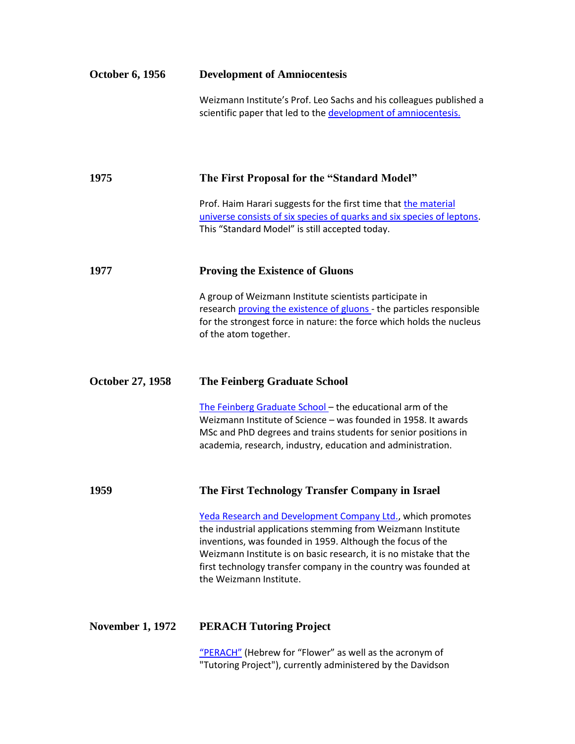| <b>October 6, 1956</b>  | <b>Development of Amniocentesis</b>                                                                                                                                                                                                                                                                                                                          |
|-------------------------|--------------------------------------------------------------------------------------------------------------------------------------------------------------------------------------------------------------------------------------------------------------------------------------------------------------------------------------------------------------|
|                         | Weizmann Institute's Prof. Leo Sachs and his colleagues published a<br>scientific paper that led to the development of amniocentesis.                                                                                                                                                                                                                        |
| 1975                    | The First Proposal for the "Standard Model"                                                                                                                                                                                                                                                                                                                  |
|                         | Prof. Haim Harari suggests for the first time that the material<br>universe consists of six species of quarks and six species of leptons.<br>This "Standard Model" is still accepted today.                                                                                                                                                                  |
| 1977                    | <b>Proving the Existence of Gluons</b>                                                                                                                                                                                                                                                                                                                       |
|                         | A group of Weizmann Institute scientists participate in<br>research proving the existence of gluons - the particles responsible<br>for the strongest force in nature: the force which holds the nucleus<br>of the atom together.                                                                                                                             |
| <b>October 27, 1958</b> | <b>The Feinberg Graduate School</b>                                                                                                                                                                                                                                                                                                                          |
|                         | The Feinberg Graduate School - the educational arm of the<br>Weizmann Institute of Science - was founded in 1958. It awards<br>MSc and PhD degrees and trains students for senior positions in<br>academia, research, industry, education and administration.                                                                                                |
| 1959                    | The First Technology Transfer Company in Israel                                                                                                                                                                                                                                                                                                              |
|                         | Yeda Research and Development Company Ltd., which promotes<br>the industrial applications stemming from Weizmann Institute<br>inventions, was founded in 1959. Although the focus of the<br>Weizmann Institute is on basic research, it is no mistake that the<br>first technology transfer company in the country was founded at<br>the Weizmann Institute. |
| <b>November 1, 1972</b> | <b>PERACH Tutoring Project</b>                                                                                                                                                                                                                                                                                                                               |

["PERACH"](http://www.perach.org.il/) (Hebrew for "Flower" as well as the acronym of "Tutoring Project"), currently administered by the Davidson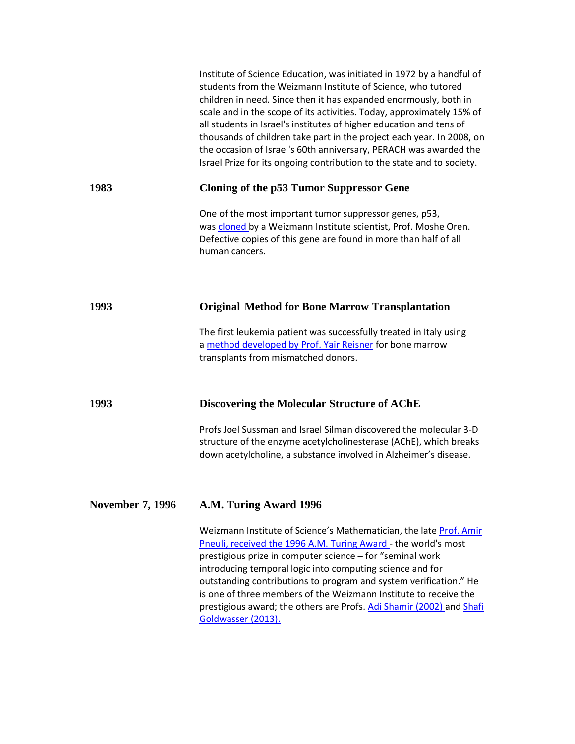|                         | Institute of Science Education, was initiated in 1972 by a handful of<br>students from the Weizmann Institute of Science, who tutored<br>children in need. Since then it has expanded enormously, both in<br>scale and in the scope of its activities. Today, approximately 15% of<br>all students in Israel's institutes of higher education and tens of<br>thousands of children take part in the project each year. In 2008, on<br>the occasion of Israel's 60th anniversary, PERACH was awarded the<br>Israel Prize for its ongoing contribution to the state and to society. |
|-------------------------|-----------------------------------------------------------------------------------------------------------------------------------------------------------------------------------------------------------------------------------------------------------------------------------------------------------------------------------------------------------------------------------------------------------------------------------------------------------------------------------------------------------------------------------------------------------------------------------|
| 1983                    | <b>Cloning of the p53 Tumor Suppressor Gene</b>                                                                                                                                                                                                                                                                                                                                                                                                                                                                                                                                   |
|                         | One of the most important tumor suppressor genes, p53,<br>was cloned by a Weizmann Institute scientist, Prof. Moshe Oren.<br>Defective copies of this gene are found in more than half of all<br>human cancers.                                                                                                                                                                                                                                                                                                                                                                   |
| 1993                    | <b>Original Method for Bone Marrow Transplantation</b>                                                                                                                                                                                                                                                                                                                                                                                                                                                                                                                            |
|                         | The first leukemia patient was successfully treated in Italy using<br>a method developed by Prof. Yair Reisner for bone marrow<br>transplants from mismatched donors.                                                                                                                                                                                                                                                                                                                                                                                                             |
| 1993                    | Discovering the Molecular Structure of AChE                                                                                                                                                                                                                                                                                                                                                                                                                                                                                                                                       |
|                         | Profs Joel Sussman and Israel Silman discovered the molecular 3-D<br>structure of the enzyme acetylcholinesterase (AChE), which breaks<br>down acetylcholine, a substance involved in Alzheimer's disease.                                                                                                                                                                                                                                                                                                                                                                        |
| <b>November 7, 1996</b> | A.M. Turing Award 1996                                                                                                                                                                                                                                                                                                                                                                                                                                                                                                                                                            |
|                         | Weizmann Institute of Science's Mathematician, the late Prof. Amir<br>Pneuli, received the 1996 A.M. Turing Award - the world's most<br>prestigious prize in computer science - for "seminal work<br>introducing temporal logic into computing science and for<br>outstanding contributions to program and system verification." He<br>is one of three members of the Weizmann Institute to receive the<br>prestigious award; the others are Profs. Adi Shamir (2002) and Shafi<br>Goldwasser (2013).                                                                             |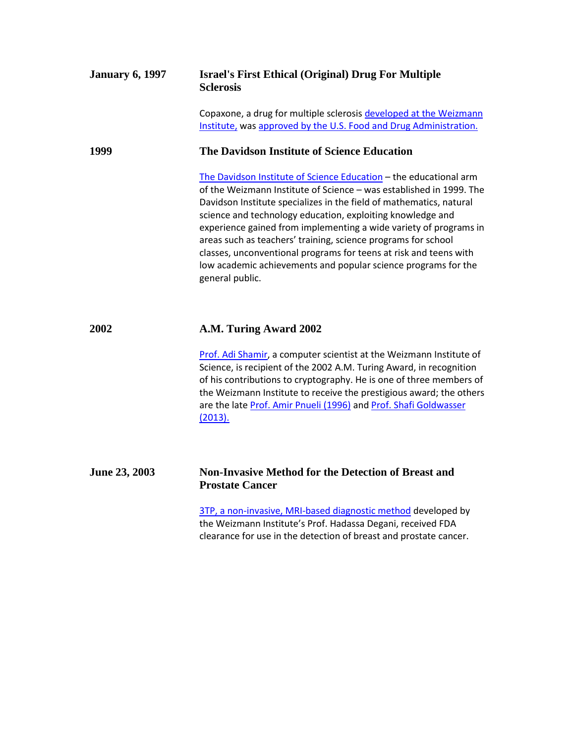| <b>January 6, 1997</b> | <b>Israel's First Ethical (Original) Drug For Multiple</b><br><b>Sclerosis</b>                                                                                                                                                                                                                                                                                                                                                                                                                                                                                                |
|------------------------|-------------------------------------------------------------------------------------------------------------------------------------------------------------------------------------------------------------------------------------------------------------------------------------------------------------------------------------------------------------------------------------------------------------------------------------------------------------------------------------------------------------------------------------------------------------------------------|
|                        | Copaxone, a drug for multiple sclerosis developed at the Weizmann<br>Institute, was approved by the U.S. Food and Drug Administration.                                                                                                                                                                                                                                                                                                                                                                                                                                        |
| 1999                   | The Davidson Institute of Science Education                                                                                                                                                                                                                                                                                                                                                                                                                                                                                                                                   |
|                        | The Davidson Institute of Science Education - the educational arm<br>of the Weizmann Institute of Science - was established in 1999. The<br>Davidson Institute specializes in the field of mathematics, natural<br>science and technology education, exploiting knowledge and<br>experience gained from implementing a wide variety of programs in<br>areas such as teachers' training, science programs for school<br>classes, unconventional programs for teens at risk and teens with<br>low academic achievements and popular science programs for the<br>general public. |
| 2002                   | A.M. Turing Award 2002                                                                                                                                                                                                                                                                                                                                                                                                                                                                                                                                                        |
|                        | Prof. Adi Shamir, a computer scientist at the Weizmann Institute of<br>Science, is recipient of the 2002 A.M. Turing Award, in recognition<br>of his contributions to cryptography. He is one of three members of<br>the Weizmann Institute to receive the prestigious award; the others<br>are the late Prof. Amir Pnueli (1996) and Prof. Shafi Goldwasser<br>(2013).                                                                                                                                                                                                       |
| June 23, 2003          | <b>Non-Invasive Method for the Detection of Breast and</b><br><b>Prostate Cancer</b>                                                                                                                                                                                                                                                                                                                                                                                                                                                                                          |
|                        | 3TP, a non-invasive, MRI-based diagnostic method developed by<br>the Weizmann Institute's Prof. Hadassa Degani, received FDA<br>clearance for use in the detection of breast and prostate cancer.                                                                                                                                                                                                                                                                                                                                                                             |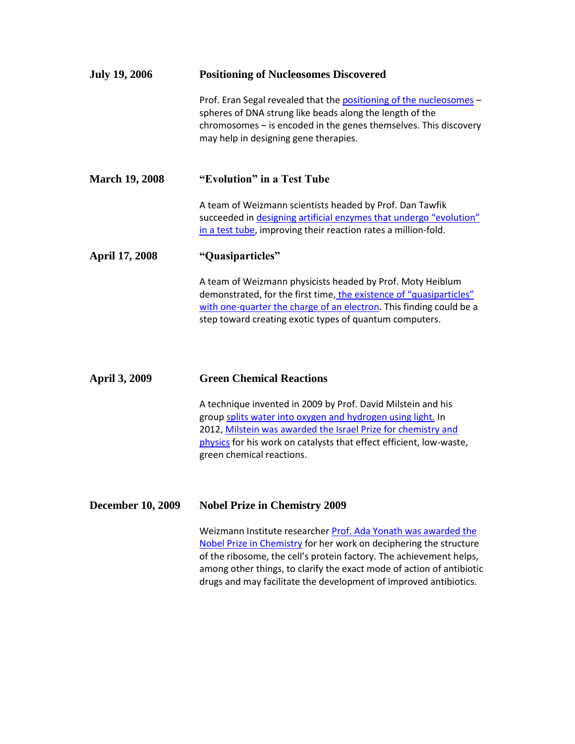| <b>July 19, 2006</b>     | <b>Positioning of Nucleosomes Discovered</b>                                                                                                                                                                                                                                                                                                              |
|--------------------------|-----------------------------------------------------------------------------------------------------------------------------------------------------------------------------------------------------------------------------------------------------------------------------------------------------------------------------------------------------------|
|                          | Prof. Eran Segal revealed that the positioning of the nucleosomes -<br>spheres of DNA strung like beads along the length of the<br>chromosomes - is encoded in the genes themselves. This discovery<br>may help in designing gene therapies.                                                                                                              |
| <b>March 19, 2008</b>    | "Evolution" in a Test Tube                                                                                                                                                                                                                                                                                                                                |
|                          | A team of Weizmann scientists headed by Prof. Dan Tawfik<br>succeeded in designing artificial enzymes that undergo "evolution"<br>in a test tube, improving their reaction rates a million-fold.                                                                                                                                                          |
| <b>April 17, 2008</b>    | "Quasiparticles"                                                                                                                                                                                                                                                                                                                                          |
|                          | A team of Weizmann physicists headed by Prof. Moty Heiblum<br>demonstrated, for the first time, the existence of "quasiparticles"<br>with one-quarter the charge of an electron. This finding could be a<br>step toward creating exotic types of quantum computers.                                                                                       |
| <b>April 3, 2009</b>     | <b>Green Chemical Reactions</b>                                                                                                                                                                                                                                                                                                                           |
|                          | A technique invented in 2009 by Prof. David Milstein and his<br>group splits water into oxygen and hydrogen using light. In<br>2012, Milstein was awarded the Israel Prize for chemistry and<br>physics for his work on catalysts that effect efficient, low-waste,<br>green chemical reactions.                                                          |
| <b>December 10, 2009</b> | <b>Nobel Prize in Chemistry 2009</b>                                                                                                                                                                                                                                                                                                                      |
|                          | Weizmann Institute researcher Prof. Ada Yonath was awarded the<br>Nobel Prize in Chemistry for her work on deciphering the structure<br>of the ribosome, the cell's protein factory. The achievement helps,<br>among other things, to clarify the exact mode of action of antibiotic<br>drugs and may facilitate the development of improved antibiotics. |